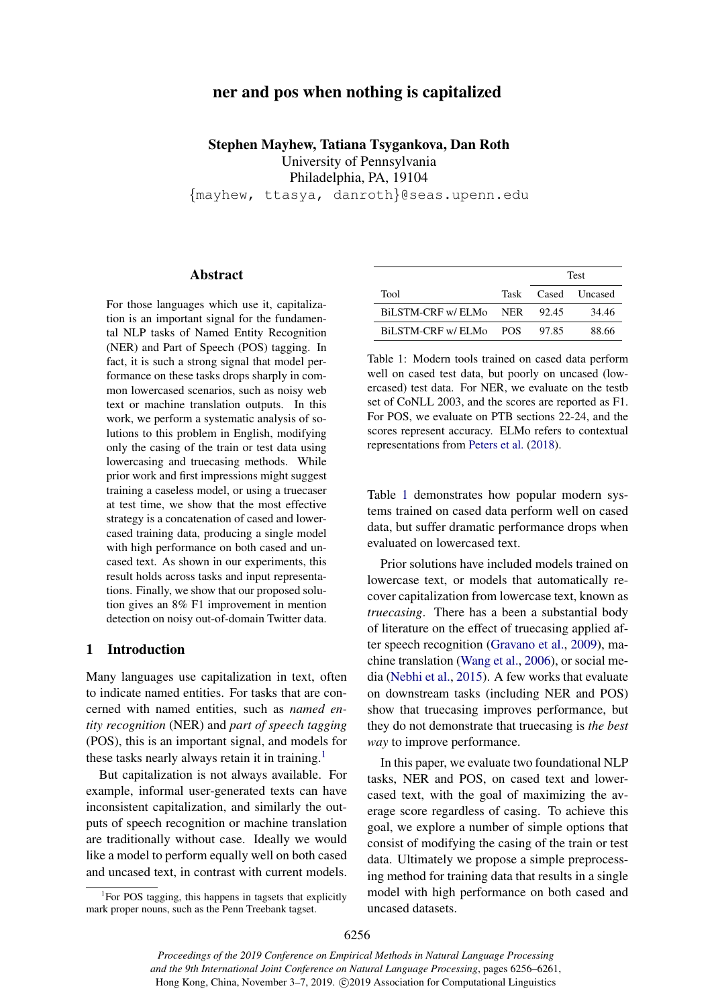# ner and pos when nothing is capitalized

Stephen Mayhew, Tatiana Tsygankova, Dan Roth University of Pennsylvania Philadelphia, PA, 19104 {mayhew, ttasya, danroth}@seas.upenn.edu

## Abstract

For those languages which use it, capitalization is an important signal for the fundamental NLP tasks of Named Entity Recognition (NER) and Part of Speech (POS) tagging. In fact, it is such a strong signal that model performance on these tasks drops sharply in common lowercased scenarios, such as noisy web text or machine translation outputs. In this work, we perform a systematic analysis of solutions to this problem in English, modifying only the casing of the train or test data using lowercasing and truecasing methods. While prior work and first impressions might suggest training a caseless model, or using a truecaser at test time, we show that the most effective strategy is a concatenation of cased and lowercased training data, producing a single model with high performance on both cased and uncased text. As shown in our experiments, this result holds across tasks and input representations. Finally, we show that our proposed solution gives an 8% F1 improvement in mention detection on noisy out-of-domain Twitter data.

## 1 Introduction

Many languages use capitalization in text, often to indicate named entities. For tasks that are concerned with named entities, such as *named entity recognition* (NER) and *part of speech tagging* (POS), this is an important signal, and models for these tasks nearly always retain it in training.<sup>[1](#page-0-0)</sup>

But capitalization is not always available. For example, informal user-generated texts can have inconsistent capitalization, and similarly the outputs of speech recognition or machine translation are traditionally without case. Ideally we would like a model to perform equally well on both cased and uncased text, in contrast with current models.

<span id="page-0-1"></span>

|                        | <b>Test</b> |                    |
|------------------------|-------------|--------------------|
| Tool                   |             | Task Cased Uncased |
| BiLSTM-CRF w/ ELMo NER | 92.45       | 34.46              |
| BILSTM-CRF w/ ELMo POS | 97.85       | 88.66              |

Table 1: Modern tools trained on cased data perform well on cased test data, but poorly on uncased (lowercased) test data. For NER, we evaluate on the testb set of CoNLL 2003, and the scores are reported as F1. For POS, we evaluate on PTB sections 22-24, and the scores represent accuracy. ELMo refers to contextual representations from [Peters et al.](#page-5-0) [\(2018\)](#page-5-0).

Table [1](#page-0-1) demonstrates how popular modern systems trained on cased data perform well on cased data, but suffer dramatic performance drops when evaluated on lowercased text.

Prior solutions have included models trained on lowercase text, or models that automatically recover capitalization from lowercase text, known as *truecasing*. There has a been a substantial body of literature on the effect of truecasing applied after speech recognition [\(Gravano et al.,](#page-4-0) [2009\)](#page-4-0), machine translation [\(Wang et al.,](#page-5-1) [2006\)](#page-5-1), or social media [\(Nebhi et al.,](#page-5-2) [2015\)](#page-5-2). A few works that evaluate on downstream tasks (including NER and POS) show that truecasing improves performance, but they do not demonstrate that truecasing is *the best way* to improve performance.

In this paper, we evaluate two foundational NLP tasks, NER and POS, on cased text and lowercased text, with the goal of maximizing the average score regardless of casing. To achieve this goal, we explore a number of simple options that consist of modifying the casing of the train or test data. Ultimately we propose a simple preprocessing method for training data that results in a single model with high performance on both cased and uncased datasets.

<span id="page-0-0"></span><sup>&</sup>lt;sup>1</sup>For POS tagging, this happens in tagsets that explicitly mark proper nouns, such as the Penn Treebank tagset.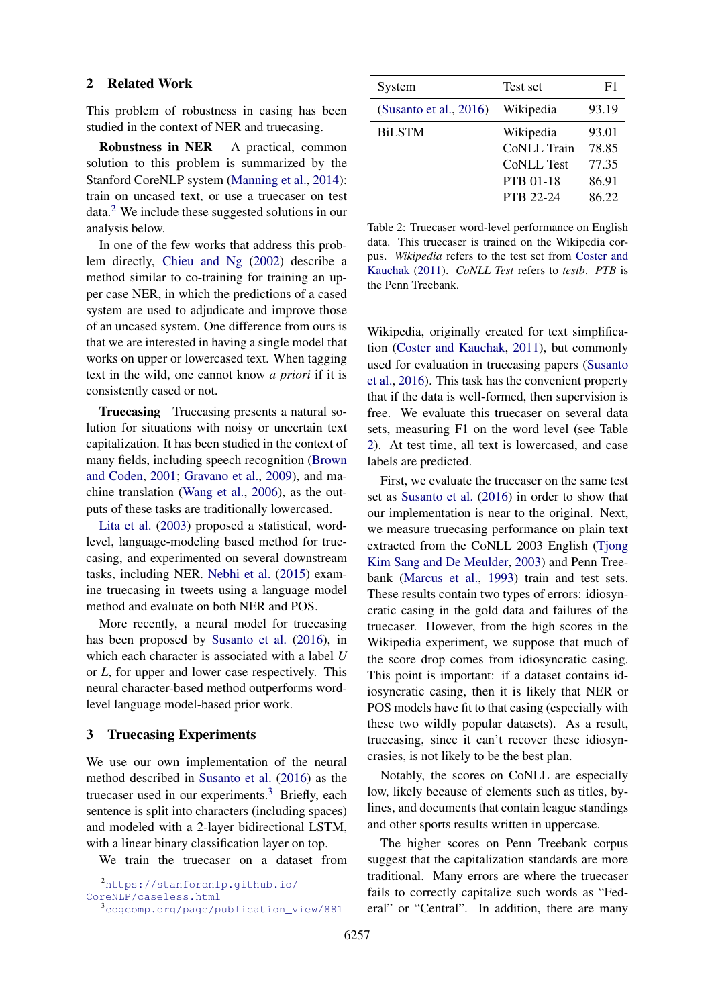#### 2 Related Work

This problem of robustness in casing has been studied in the context of NER and truecasing.

Robustness in NER A practical, common solution to this problem is summarized by the Stanford CoreNLP system [\(Manning et al.,](#page-4-1) [2014\)](#page-4-1): train on uncased text, or use a truecaser on test data.[2](#page-1-0) We include these suggested solutions in our analysis below.

In one of the few works that address this problem directly, [Chieu and Ng](#page-4-2) [\(2002\)](#page-4-2) describe a method similar to co-training for training an upper case NER, in which the predictions of a cased system are used to adjudicate and improve those of an uncased system. One difference from ours is that we are interested in having a single model that works on upper or lowercased text. When tagging text in the wild, one cannot know *a priori* if it is consistently cased or not.

Truecasing Truecasing presents a natural solution for situations with noisy or uncertain text capitalization. It has been studied in the context of many fields, including speech recognition [\(Brown](#page-4-3) [and Coden,](#page-4-3) [2001;](#page-4-3) [Gravano et al.,](#page-4-0) [2009\)](#page-4-0), and machine translation [\(Wang et al.,](#page-5-1) [2006\)](#page-5-1), as the outputs of these tasks are traditionally lowercased.

[Lita et al.](#page-4-4) [\(2003\)](#page-4-4) proposed a statistical, wordlevel, language-modeling based method for truecasing, and experimented on several downstream tasks, including NER. [Nebhi et al.](#page-5-2) [\(2015\)](#page-5-2) examine truecasing in tweets using a language model method and evaluate on both NER and POS.

More recently, a neural model for truecasing has been proposed by [Susanto et al.](#page-5-3) [\(2016\)](#page-5-3), in which each character is associated with a label *U* or *L*, for upper and lower case respectively. This neural character-based method outperforms wordlevel language model-based prior work.

#### <span id="page-1-3"></span>3 Truecasing Experiments

We use our own implementation of the neural method described in [Susanto et al.](#page-5-3) [\(2016\)](#page-5-3) as the truecaser used in our experiments.<sup>[3](#page-1-1)</sup> Briefly, each sentence is split into characters (including spaces) and modeled with a 2-layer bidirectional LSTM, with a linear binary classification layer on top.

We train the truecaser on a dataset from

```
2https://stanfordnlp.github.io/
```

```
CoreNLP/caseless.html
```

```
3cogcomp.org/page/publication_view/881
```
<span id="page-1-2"></span>

| System                    | Test set          | F1    |
|---------------------------|-------------------|-------|
| (Susanto et al., $2016$ ) | Wikipedia         | 93.19 |
| <b>BiLSTM</b>             | Wikipedia         | 93.01 |
|                           | CoNLL Train       | 78.85 |
|                           | <b>CoNLL Test</b> | 77.35 |
|                           | <b>PTB 01-18</b>  | 86.91 |
|                           | <b>PTB 22-24</b>  | 86.22 |
|                           |                   |       |

Table 2: Truecaser word-level performance on English data. This truecaser is trained on the Wikipedia corpus. *Wikipedia* refers to the test set from [Coster and](#page-4-5) [Kauchak](#page-4-5) [\(2011\)](#page-4-5). *CoNLL Test* refers to *testb*. *PTB* is the Penn Treebank.

Wikipedia, originally created for text simplification [\(Coster and Kauchak,](#page-4-5) [2011\)](#page-4-5), but commonly used for evaluation in truecasing papers [\(Susanto](#page-5-3) [et al.,](#page-5-3) [2016\)](#page-5-3). This task has the convenient property that if the data is well-formed, then supervision is free. We evaluate this truecaser on several data sets, measuring F1 on the word level (see Table [2\)](#page-1-2). At test time, all text is lowercased, and case labels are predicted.

First, we evaluate the truecaser on the same test set as [Susanto et al.](#page-5-3) [\(2016\)](#page-5-3) in order to show that our implementation is near to the original. Next, we measure truecasing performance on plain text extracted from the CoNLL 2003 English (Tiong [Kim Sang and De Meulder,](#page-5-4) [2003\)](#page-5-4) and Penn Treebank [\(Marcus et al.,](#page-5-5) [1993\)](#page-5-5) train and test sets. These results contain two types of errors: idiosyncratic casing in the gold data and failures of the truecaser. However, from the high scores in the Wikipedia experiment, we suppose that much of the score drop comes from idiosyncratic casing. This point is important: if a dataset contains idiosyncratic casing, then it is likely that NER or POS models have fit to that casing (especially with these two wildly popular datasets). As a result, truecasing, since it can't recover these idiosyncrasies, is not likely to be the best plan.

Notably, the scores on CoNLL are especially low, likely because of elements such as titles, bylines, and documents that contain league standings and other sports results written in uppercase.

The higher scores on Penn Treebank corpus suggest that the capitalization standards are more traditional. Many errors are where the truecaser fails to correctly capitalize such words as "Federal" or "Central". In addition, there are many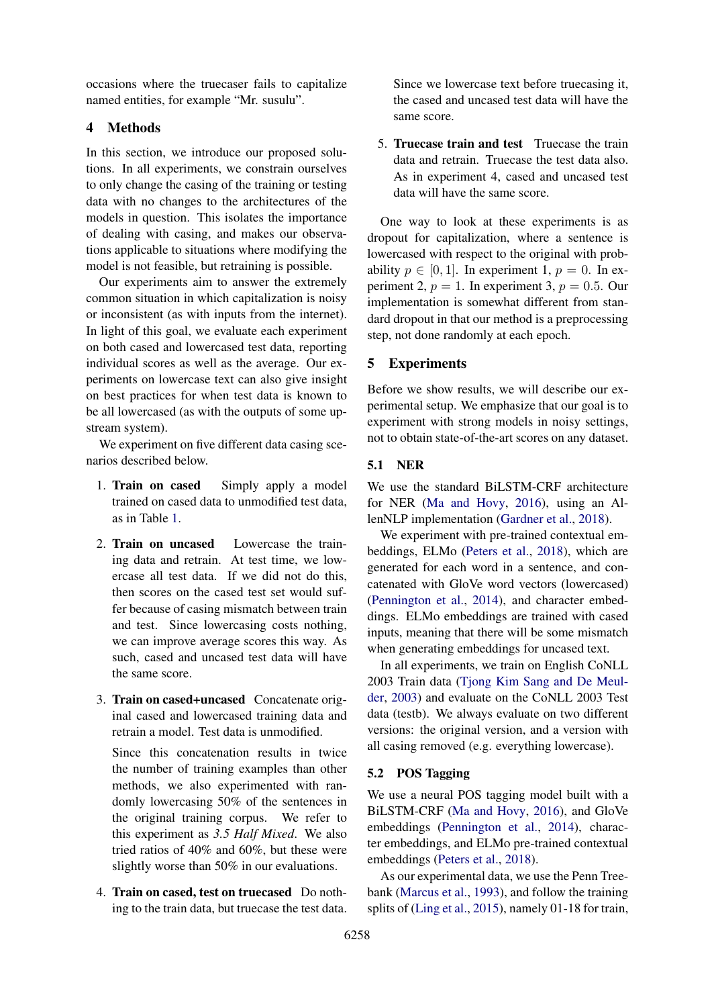occasions where the truecaser fails to capitalize named entities, for example "Mr. susulu".

# 4 Methods

In this section, we introduce our proposed solutions. In all experiments, we constrain ourselves to only change the casing of the training or testing data with no changes to the architectures of the models in question. This isolates the importance of dealing with casing, and makes our observations applicable to situations where modifying the model is not feasible, but retraining is possible.

Our experiments aim to answer the extremely common situation in which capitalization is noisy or inconsistent (as with inputs from the internet). In light of this goal, we evaluate each experiment on both cased and lowercased test data, reporting individual scores as well as the average. Our experiments on lowercase text can also give insight on best practices for when test data is known to be all lowercased (as with the outputs of some upstream system).

We experiment on five different data casing scenarios described below.

- 1. Train on cased Simply apply a model trained on cased data to unmodified test data, as in Table [1.](#page-0-1)
- 2. Train on uncased Lowercase the training data and retrain. At test time, we lowercase all test data. If we did not do this, then scores on the cased test set would suffer because of casing mismatch between train and test. Since lowercasing costs nothing, we can improve average scores this way. As such, cased and uncased test data will have the same score.
- 3. Train on cased+uncased Concatenate original cased and lowercased training data and retrain a model. Test data is unmodified.

Since this concatenation results in twice the number of training examples than other methods, we also experimented with randomly lowercasing 50% of the sentences in the original training corpus. We refer to this experiment as *3.5 Half Mixed*. We also tried ratios of 40% and 60%, but these were slightly worse than 50% in our evaluations.

4. Train on cased, test on truecased Do nothing to the train data, but truecase the test data.

Since we lowercase text before truecasing it, the cased and uncased test data will have the same score.

5. Truecase train and test Truecase the train data and retrain. Truecase the test data also. As in experiment 4, cased and uncased test data will have the same score.

One way to look at these experiments is as dropout for capitalization, where a sentence is lowercased with respect to the original with probability  $p \in [0, 1]$ . In experiment 1,  $p = 0$ . In experiment 2,  $p = 1$ . In experiment 3,  $p = 0.5$ . Our implementation is somewhat different from standard dropout in that our method is a preprocessing step, not done randomly at each epoch.

### 5 Experiments

Before we show results, we will describe our experimental setup. We emphasize that our goal is to experiment with strong models in noisy settings, not to obtain state-of-the-art scores on any dataset.

## 5.1 NER

We use the standard BiLSTM-CRF architecture for NER [\(Ma and Hovy,](#page-4-6) [2016\)](#page-4-6), using an AllenNLP implementation [\(Gardner et al.,](#page-4-7) [2018\)](#page-4-7).

We experiment with pre-trained contextual embeddings, ELMo [\(Peters et al.,](#page-5-0) [2018\)](#page-5-0), which are generated for each word in a sentence, and concatenated with GloVe word vectors (lowercased) [\(Pennington et al.,](#page-5-6) [2014\)](#page-5-6), and character embeddings. ELMo embeddings are trained with cased inputs, meaning that there will be some mismatch when generating embeddings for uncased text.

In all experiments, we train on English CoNLL 2003 Train data [\(Tjong Kim Sang and De Meul](#page-5-4)[der,](#page-5-4) [2003\)](#page-5-4) and evaluate on the CoNLL 2003 Test data (testb). We always evaluate on two different versions: the original version, and a version with all casing removed (e.g. everything lowercase).

## 5.2 POS Tagging

We use a neural POS tagging model built with a BiLSTM-CRF [\(Ma and Hovy,](#page-4-6) [2016\)](#page-4-6), and GloVe embeddings [\(Pennington et al.,](#page-5-6) [2014\)](#page-5-6), character embeddings, and ELMo pre-trained contextual embeddings [\(Peters et al.,](#page-5-0) [2018\)](#page-5-0).

As our experimental data, we use the Penn Treebank [\(Marcus et al.,](#page-5-5) [1993\)](#page-5-5), and follow the training splits of [\(Ling et al.,](#page-4-8) [2015\)](#page-4-8), namely 01-18 for train,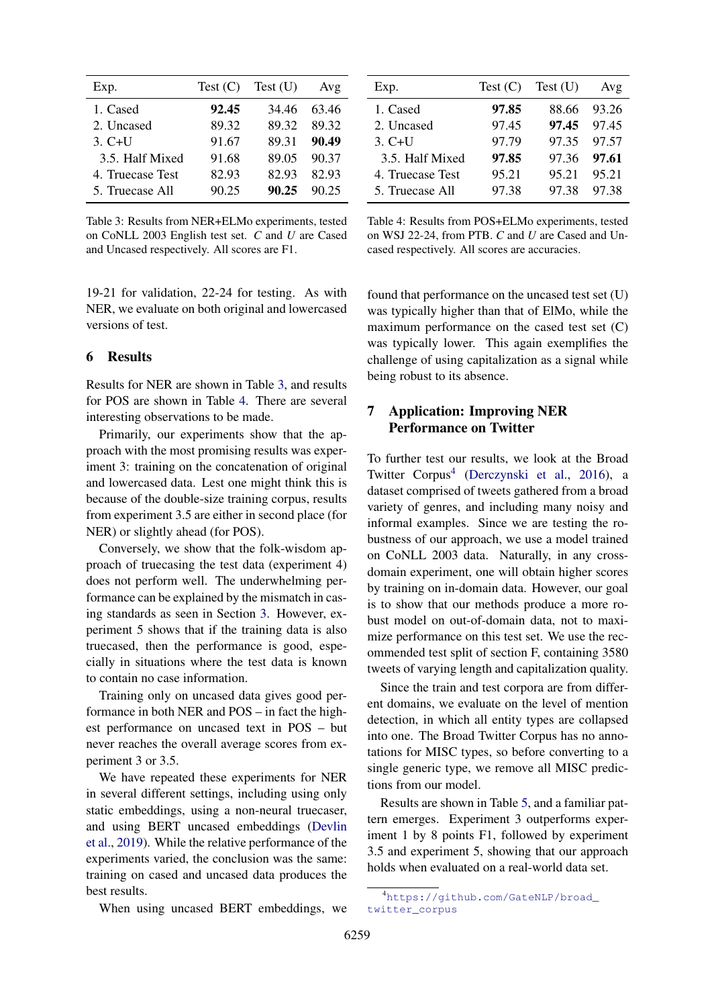<span id="page-3-0"></span>

| Exp.             | Test (C) | Test(U) | Avg   |
|------------------|----------|---------|-------|
| 1. Cased         | 92.45    | 34.46   | 63.46 |
| 2. Uncased       | 89.32    | 89.32   | 89.32 |
| $3. C+U$         | 91.67    | 89.31   | 90.49 |
| 3.5. Half Mixed  | 91.68    | 89.05   | 90.37 |
| 4. Truecase Test | 82.93    | 82.93   | 82.93 |
| 5. Truecase All  | 90.25    | 90.25   | 90.25 |

Table 3: Results from NER+ELMo experiments, tested on CoNLL 2003 English test set. *C* and *U* are Cased and Uncased respectively. All scores are F1.

19-21 for validation, 22-24 for testing. As with NER, we evaluate on both original and lowercased versions of test.

### 6 Results

Results for NER are shown in Table [3,](#page-3-0) and results for POS are shown in Table [4.](#page-3-1) There are several interesting observations to be made.

Primarily, our experiments show that the approach with the most promising results was experiment 3: training on the concatenation of original and lowercased data. Lest one might think this is because of the double-size training corpus, results from experiment 3.5 are either in second place (for NER) or slightly ahead (for POS).

Conversely, we show that the folk-wisdom approach of truecasing the test data (experiment 4) does not perform well. The underwhelming performance can be explained by the mismatch in casing standards as seen in Section [3.](#page-1-3) However, experiment 5 shows that if the training data is also truecased, then the performance is good, especially in situations where the test data is known to contain no case information.

Training only on uncased data gives good performance in both NER and POS – in fact the highest performance on uncased text in POS – but never reaches the overall average scores from experiment 3 or 3.5.

We have repeated these experiments for NER in several different settings, including using only static embeddings, using a non-neural truecaser, and using BERT uncased embeddings [\(Devlin](#page-4-9) [et al.,](#page-4-9) [2019\)](#page-4-9). While the relative performance of the experiments varied, the conclusion was the same: training on cased and uncased data produces the best results.

When using uncased BERT embeddings, we

<span id="page-3-1"></span>

| Exp.             | Test (C) | Test(U)     | Avg     |
|------------------|----------|-------------|---------|
| 1. Cased         | 97.85    | 88.66       | 93.26   |
| 2. Uncased       | 97.45    | 97.45 97.45 |         |
| $3. C+U$         | 97.79    | 97.35 97.57 |         |
| 3.5. Half Mixed  | 97.85    | 97.36       | - 97.61 |
| 4. Truecase Test | 95.21    | 95.21       | 95.21   |
| 5. Truecase All  | 97.38    | 97.38       | 97.38   |

Table 4: Results from POS+ELMo experiments, tested on WSJ 22-24, from PTB. *C* and *U* are Cased and Uncased respectively. All scores are accuracies.

found that performance on the uncased test set (U) was typically higher than that of ElMo, while the maximum performance on the cased test set (C) was typically lower. This again exemplifies the challenge of using capitalization as a signal while being robust to its absence.

# 7 Application: Improving NER Performance on Twitter

To further test our results, we look at the Broad Twitter Corpus<sup>[4](#page-3-2)</sup> [\(Derczynski et al.,](#page-4-10) [2016\)](#page-4-10), a dataset comprised of tweets gathered from a broad variety of genres, and including many noisy and informal examples. Since we are testing the robustness of our approach, we use a model trained on CoNLL 2003 data. Naturally, in any crossdomain experiment, one will obtain higher scores by training on in-domain data. However, our goal is to show that our methods produce a more robust model on out-of-domain data, not to maximize performance on this test set. We use the recommended test split of section F, containing 3580 tweets of varying length and capitalization quality.

Since the train and test corpora are from different domains, we evaluate on the level of mention detection, in which all entity types are collapsed into one. The Broad Twitter Corpus has no annotations for MISC types, so before converting to a single generic type, we remove all MISC predictions from our model.

Results are shown in Table [5,](#page-4-11) and a familiar pattern emerges. Experiment 3 outperforms experiment 1 by 8 points F1, followed by experiment 3.5 and experiment 5, showing that our approach holds when evaluated on a real-world data set.

<span id="page-3-2"></span><sup>4</sup>[https://github.com/GateNLP/broad\\_](https://github.com/GateNLP/broad_twitter_corpus) [twitter\\_corpus](https://github.com/GateNLP/broad_twitter_corpus)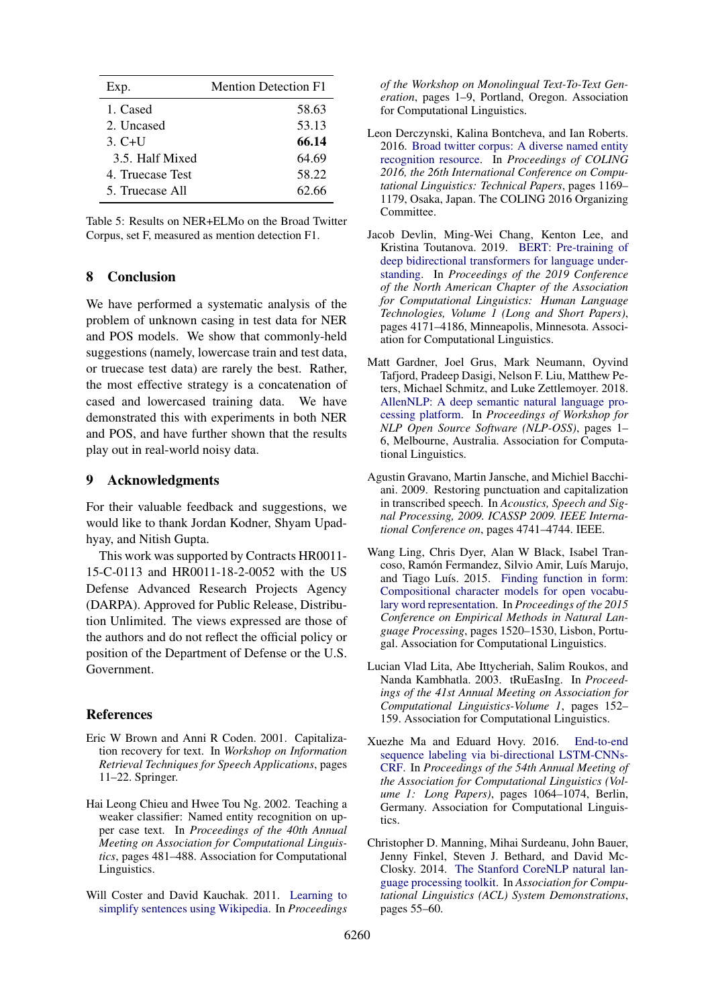<span id="page-4-11"></span>

| Exp.             | <b>Mention Detection F1</b> |
|------------------|-----------------------------|
| 1. Cased         | 58.63                       |
| 2. Uncased       | 53.13                       |
| 3. $C+U$         | 66.14                       |
| 3.5. Half Mixed  | 64.69                       |
| 4. Truecase Test | 58.22                       |
| 5. Truecase All  | 62.66                       |

| Table 5: Results on NER+ELMo on the Broad Twitter |
|---------------------------------------------------|
| Corpus, set F, measured as mention detection F1.  |

# 8 Conclusion

We have performed a systematic analysis of the problem of unknown casing in test data for NER and POS models. We show that commonly-held suggestions (namely, lowercase train and test data, or truecase test data) are rarely the best. Rather, the most effective strategy is a concatenation of cased and lowercased training data. We have demonstrated this with experiments in both NER and POS, and have further shown that the results play out in real-world noisy data.

#### 9 Acknowledgments

For their valuable feedback and suggestions, we would like to thank Jordan Kodner, Shyam Upadhyay, and Nitish Gupta.

This work was supported by Contracts HR0011- 15-C-0113 and HR0011-18-2-0052 with the US Defense Advanced Research Projects Agency (DARPA). Approved for Public Release, Distribution Unlimited. The views expressed are those of the authors and do not reflect the official policy or position of the Department of Defense or the U.S. Government.

#### References

- <span id="page-4-3"></span>Eric W Brown and Anni R Coden. 2001. Capitalization recovery for text. In *Workshop on Information Retrieval Techniques for Speech Applications*, pages 11–22. Springer.
- <span id="page-4-2"></span>Hai Leong Chieu and Hwee Tou Ng. 2002. Teaching a weaker classifier: Named entity recognition on upper case text. In *Proceedings of the 40th Annual Meeting on Association for Computational Linguistics*, pages 481–488. Association for Computational Linguistics.
- <span id="page-4-5"></span>Will Coster and David Kauchak. 2011. [Learning to](https://www.aclweb.org/anthology/W11-1601) [simplify sentences using Wikipedia.](https://www.aclweb.org/anthology/W11-1601) In *Proceedings*

*of the Workshop on Monolingual Text-To-Text Generation*, pages 1–9, Portland, Oregon. Association for Computational Linguistics.

- <span id="page-4-10"></span>Leon Derczynski, Kalina Bontcheva, and Ian Roberts. 2016. [Broad twitter corpus: A diverse named entity](https://www.aclweb.org/anthology/C16-1111) [recognition resource.](https://www.aclweb.org/anthology/C16-1111) In *Proceedings of COLING 2016, the 26th International Conference on Computational Linguistics: Technical Papers*, pages 1169– 1179, Osaka, Japan. The COLING 2016 Organizing Committee.
- <span id="page-4-9"></span>Jacob Devlin, Ming-Wei Chang, Kenton Lee, and Kristina Toutanova. 2019. [BERT: Pre-training of](https://doi.org/10.18653/v1/N19-1423) [deep bidirectional transformers for language under](https://doi.org/10.18653/v1/N19-1423)[standing.](https://doi.org/10.18653/v1/N19-1423) In *Proceedings of the 2019 Conference of the North American Chapter of the Association for Computational Linguistics: Human Language Technologies, Volume 1 (Long and Short Papers)*, pages 4171–4186, Minneapolis, Minnesota. Association for Computational Linguistics.
- <span id="page-4-7"></span>Matt Gardner, Joel Grus, Mark Neumann, Oyvind Tafjord, Pradeep Dasigi, Nelson F. Liu, Matthew Peters, Michael Schmitz, and Luke Zettlemoyer. 2018. [AllenNLP: A deep semantic natural language pro](https://doi.org/10.18653/v1/W18-2501)[cessing platform.](https://doi.org/10.18653/v1/W18-2501) In *Proceedings of Workshop for NLP Open Source Software (NLP-OSS)*, pages 1– 6, Melbourne, Australia. Association for Computational Linguistics.
- <span id="page-4-0"></span>Agustin Gravano, Martin Jansche, and Michiel Bacchiani. 2009. Restoring punctuation and capitalization in transcribed speech. In *Acoustics, Speech and Signal Processing, 2009. ICASSP 2009. IEEE International Conference on*, pages 4741–4744. IEEE.
- <span id="page-4-8"></span>Wang Ling, Chris Dyer, Alan W Black, Isabel Trancoso, Ramón Fermandez, Silvio Amir, Luís Marujo, and Tiago Luís. 2015. [Finding function in form:](https://doi.org/10.18653/v1/D15-1176) [Compositional character models for open vocabu](https://doi.org/10.18653/v1/D15-1176)[lary word representation.](https://doi.org/10.18653/v1/D15-1176) In *Proceedings of the 2015 Conference on Empirical Methods in Natural Language Processing*, pages 1520–1530, Lisbon, Portugal. Association for Computational Linguistics.
- <span id="page-4-4"></span>Lucian Vlad Lita, Abe Ittycheriah, Salim Roukos, and Nanda Kambhatla. 2003. tRuEasIng. In *Proceedings of the 41st Annual Meeting on Association for Computational Linguistics-Volume 1*, pages 152– 159. Association for Computational Linguistics.
- <span id="page-4-6"></span>Xuezhe Ma and Eduard Hovy. 2016. [End-to-end](https://doi.org/10.18653/v1/P16-1101) [sequence labeling via bi-directional LSTM-CNNs-](https://doi.org/10.18653/v1/P16-1101)[CRF.](https://doi.org/10.18653/v1/P16-1101) In *Proceedings of the 54th Annual Meeting of the Association for Computational Linguistics (Volume 1: Long Papers)*, pages 1064–1074, Berlin, Germany. Association for Computational Linguistics.
- <span id="page-4-1"></span>Christopher D. Manning, Mihai Surdeanu, John Bauer, Jenny Finkel, Steven J. Bethard, and David Mc-Closky. 2014. [The Stanford CoreNLP natural lan](http://www.aclweb.org/anthology/P/P14/P14-5010)[guage processing toolkit.](http://www.aclweb.org/anthology/P/P14/P14-5010) In *Association for Computational Linguistics (ACL) System Demonstrations*, pages 55–60.